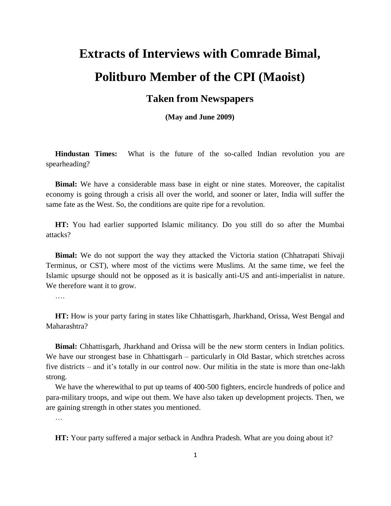## **Extracts of Interviews with Comrade Bimal, Politburo Member of the CPI (Maoist)**

## **Taken from Newspapers**

**(May and June 2009)**

**Hindustan Times:** What is the future of the so-called Indian revolution you are spearheading?

**Bimal:** We have a considerable mass base in eight or nine states. Moreover, the capitalist economy is going through a crisis all over the world, and sooner or later, India will suffer the same fate as the West. So, the conditions are quite ripe for a revolution.

**HT:** You had earlier supported Islamic militancy. Do you still do so after the Mumbai attacks?

**Bimal:** We do not support the way they attacked the Victoria station (Chhatrapati Shivaji Terminus, or CST), where most of the victims were Muslims. At the same time, we feel the Islamic upsurge should not be opposed as it is basically anti-US and anti-imperialist in nature. We therefore want it to grow.

….

**HT:** How is your party faring in states like Chhattisgarh, Jharkhand, Orissa, West Bengal and Maharashtra?

**Bimal:** Chhattisgarh, Jharkhand and Orissa will be the new storm centers in Indian politics. We have our strongest base in Chhattisgarh – particularly in Old Bastar, which stretches across five districts – and it's totally in our control now. Our militia in the state is more than one-lakh strong.

We have the wherewithal to put up teams of 400-500 fighters, encircle hundreds of police and para-military troops, and wipe out them. We have also taken up development projects. Then, we are gaining strength in other states you mentioned.

…

**HT:** Your party suffered a major setback in Andhra Pradesh. What are you doing about it?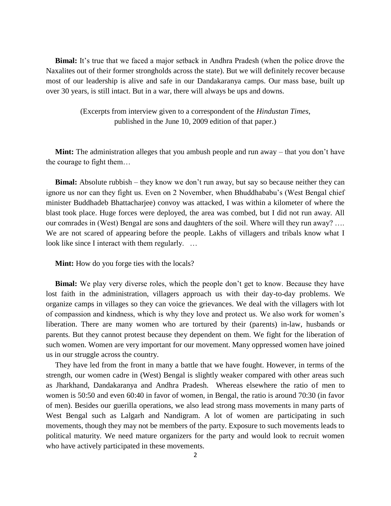**Bimal:** It's true that we faced a major setback in Andhra Pradesh (when the police drove the Naxalites out of their former strongholds across the state). But we will definitely recover because most of our leadership is alive and safe in our Dandakaranya camps. Our mass base, built up over 30 years, is still intact. But in a war, there will always be ups and downs.

> (Excerpts from interview given to a correspondent of the *Hindustan Times*, published in the June 10, 2009 edition of that paper.)

**Mint:** The administration alleges that you ambush people and run away – that you don't have the courage to fight them…

**Bimal:** Absolute rubbish – they know we don't run away, but say so because neither they can ignore us nor can they fight us. Even on 2 November, when Bhuddhababu's (West Bengal chief minister Buddhadeb Bhattacharjee) convoy was attacked, I was within a kilometer of where the blast took place. Huge forces were deployed, the area was combed, but I did not run away. All our comrades in (West) Bengal are sons and daughters of the soil. Where will they run away? …. We are not scared of appearing before the people. Lakhs of villagers and tribals know what I look like since I interact with them regularly. ...

**Mint:** How do you forge ties with the locals?

**Bimal:** We play very diverse roles, which the people don't get to know. Because they have lost faith in the administration, villagers approach us with their day-to-day problems. We organize camps in villages so they can voice the grievances. We deal with the villagers with lot of compassion and kindness, which is why they love and protect us. We also work for women's liberation. There are many women who are tortured by their (parents) in-law, husbands or parents. But they cannot protest because they dependent on them. We fight for the liberation of such women. Women are very important for our movement. Many oppressed women have joined us in our struggle across the country.

They have led from the front in many a battle that we have fought. However, in terms of the strength, our women cadre in (West) Bengal is slightly weaker compared with other areas such as Jharkhand, Dandakaranya and Andhra Pradesh. Whereas elsewhere the ratio of men to women is 50:50 and even 60:40 in favor of women, in Bengal, the ratio is around 70:30 (in favor of men). Besides our guerilla operations, we also lead strong mass movements in many parts of West Bengal such as Lalgarh and Nandigram. A lot of women are participating in such movements, though they may not be members of the party. Exposure to such movements leads to political maturity. We need mature organizers for the party and would look to recruit women who have actively participated in these movements.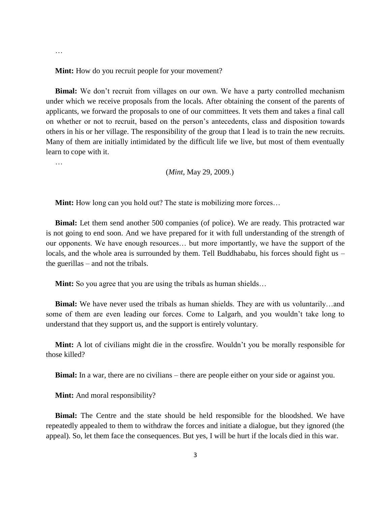**Mint:** How do you recruit people for your movement?

**Bimal:** We don't recruit from villages on our own. We have a party controlled mechanism under which we receive proposals from the locals. After obtaining the consent of the parents of applicants, we forward the proposals to one of our committees. It vets them and takes a final call on whether or not to recruit, based on the person's antecedents, class and disposition towards others in his or her village. The responsibility of the group that I lead is to train the new recruits. Many of them are initially intimidated by the difficult life we live, but most of them eventually learn to cope with it.

…

…

(*Mint*, May 29, 2009.)

**Mint:** How long can you hold out? The state is mobilizing more forces...

**Bimal:** Let them send another 500 companies (of police). We are ready. This protracted war is not going to end soon. And we have prepared for it with full understanding of the strength of our opponents. We have enough resources… but more importantly, we have the support of the locals, and the whole area is surrounded by them. Tell Buddhababu, his forces should fight us – the guerillas – and not the tribals.

**Mint:** So you agree that you are using the tribals as human shields...

**Bimal:** We have never used the tribals as human shields. They are with us voluntarily…and some of them are even leading our forces. Come to Lalgarh, and you wouldn't take long to understand that they support us, and the support is entirely voluntary.

**Mint:** A lot of civilians might die in the crossfire. Wouldn't you be morally responsible for those killed?

**Bimal:** In a war, there are no civilians – there are people either on your side or against you.

**Mint:** And moral responsibility?

**Bimal:** The Centre and the state should be held responsible for the bloodshed. We have repeatedly appealed to them to withdraw the forces and initiate a dialogue, but they ignored (the appeal). So, let them face the consequences. But yes, I will be hurt if the locals died in this war.